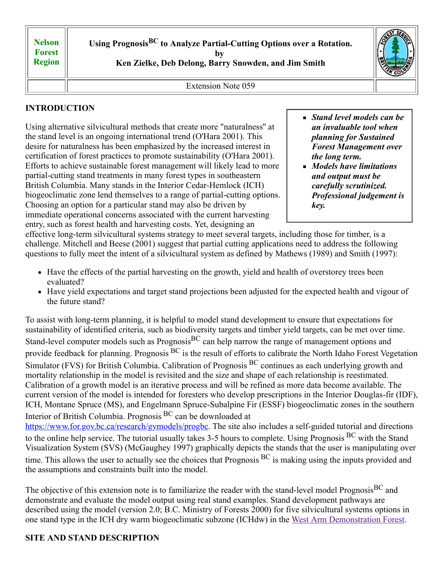**Nelson Forest Region** **Using PrognosisBC to Analyze Partial-Cutting Options over a Rotation.**

**by** 

**Ken Zielke, Deb Delong, Barry Snowden, and Jim Smith**



Extension Note 059

# **INTRODUCTION**

Using alternative silvicultural methods that create more "naturalness'' at the stand level is an ongoing international trend (O'Hara 2001). This desire for naturalness has been emphasized by the increased interest in certification of forest practices to promote sustainability (O'Hara 2001). Efforts to achieve sustainable forest management will likely lead to more partial-cutting stand treatments in many forest types in southeastern British Columbia. Many stands in the Interior Cedar-Hemlock (ICH) biogeoclimatic zone lend themselves to a range of partial-cutting options. Choosing an option for a particular stand may also be driven by immediate operational concerns associated with the current harvesting entry, such as forest health and harvesting costs. Yet, designing an

- *Stand level models can be an invaluable tool when planning for Sustained Forest Management over the long term.*
- *Models have limitations and output must be carefully scrutinized. Professional judgement is key.*

effective long-term silvicultural systems strategy to meet several targets, including those for timber, is a challenge. Mitchell and Beese (2001) suggest that partial cutting applications need to address the following questions to fully meet the intent of a silvicultural system as defined by Mathews (1989) and Smith (1997):

- Have the effects of the partial harvesting on the growth, yield and health of overstorey trees been evaluated?
- Have yield expectations and target stand projections been adjusted for the expected health and vigour of the future stand?

To assist with long-term planning, it is helpful to model stand development to ensure that expectations for sustainability of identified criteria, such as biodiversity targets and timber yield targets, can be met over time. Stand-level computer models such as Prognosis<sup>BC</sup> can help narrow the range of management options and provide feedback for planning. Prognosis BC is the result of efforts to calibrate the North Idaho Forest Vegetation Simulator (FVS) for British Columbia. Calibration of Prognosis <sup>BC</sup> continues as each underlying growth and mortality relationship in the model is revisited and the size and shape of each relationship is reestimated. Calibration of a growth model is an iterative process and will be refined as more data become available. The current version of the model is intended for foresters who develop prescriptions in the Interior Douglas-fir (IDF), ICH, Montane Spruce (MS), and Engelmann Spruce-Subalpine Fir (ESSF) biogeoclimatic zones in the southern Interior of British Columbia. Prognosis BC can be downloaded at [https://www.for.gov.bc.ca/research/gymodels/progbc](https://www.for.gov.bc.ca/research/gymodels/progbc/)</u>. The site also includes a self-guided tutorial and directions to the online help service. The tutorial usually takes 3-5 hours to complete. Using Prognosis BC with the Stand Visualization System (SVS) (McGaughey 1997) graphically depicts the stands that the user is manipulating over

time. This allows the user to actually see the choices that Prognosis <sup>BC</sup> is making using the inputs provided and the assumptions and constraints built into the model. The objective of this extension note is to familiarize the reader with the stand-level model Prognosis<sup>BC</sup> and

demonstrate and evaluate the model output using real stand examples. Stand development pathways are described using the model (version 2.0; B.C. Ministry of Forests 2000) for five silvicultural systems options in one stand type in the ICH dry warm biogeoclimatic subzone (ICHdw) in the West Arm [Demonstration Forest](https://www.for.gov.bc.ca/RSI/research/WADF/WADF.htm).

# **SITE AND STAND DESCRIPTION**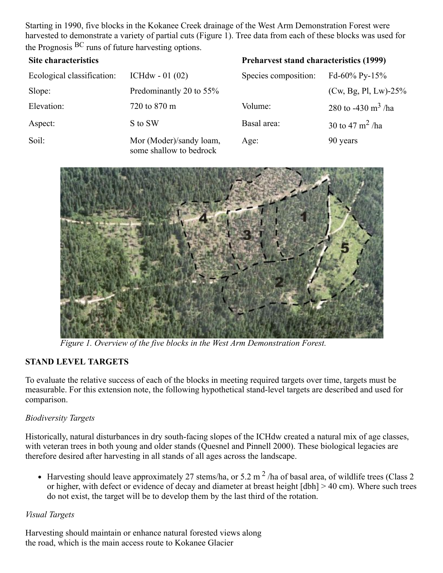Starting in 1990, five blocks in the Kokanee Creek drainage of the West Arm Demonstration Forest were harvested to demonstrate a variety of partial cuts (Figure 1). Tree data from each of these blocks was used for the Prognosis BC runs of future harvesting options.

| <b>Site characteristics</b> |                                                    | <b>Preharvest stand characteristics (1999)</b> |                                |  |  |
|-----------------------------|----------------------------------------------------|------------------------------------------------|--------------------------------|--|--|
| Ecological classification:  | ICHdw $- 01 (02)$                                  | Species composition:                           | Fd-60% Py-15%                  |  |  |
| Slope:                      | Predominantly 20 to 55%                            |                                                | $(Cw, Bg, Pl, Lw)$ -25%        |  |  |
| Elevation:                  | 720 to 870 m                                       | Volume:                                        | 280 to -430 m <sup>3</sup> /ha |  |  |
| Aspect:                     | S to SW                                            | Basal area:                                    | 30 to 47 $\rm m^2$ /ha         |  |  |
| Soil:                       | Mor (Moder)/sandy loam,<br>some shallow to bedrock | Age:                                           | 90 years                       |  |  |



*Figure 1. Overview of the five blocks in the West Arm Demonstration Forest.*

## **STAND LEVEL TARGETS**

To evaluate the relative success of each of the blocks in meeting required targets over time, targets must be measurable. For this extension note, the following hypothetical stand-level targets are described and used for comparison.

#### *Biodiversity Targets*

Historically, natural disturbances in dry south-facing slopes of the ICHdw created a natural mix of age classes, with veteran trees in both young and older stands (Quesnel and Pinnell 2000). These biological legacies are therefore desired after harvesting in all stands of all ages across the landscape.

Harvesting should leave approximately 27 stems/ha, or 5.2 m  $^2$  /ha of basal area, of wildlife trees (Class 2 or higher, with defect or evidence of decay and diameter at breast height [dbh] > 40 cm). Where such trees do not exist, the target will be to develop them by the last third of the rotation.

#### *Visual Targets*

Harvesting should maintain or enhance natural forested views along the road, which is the main access route to Kokanee Glacier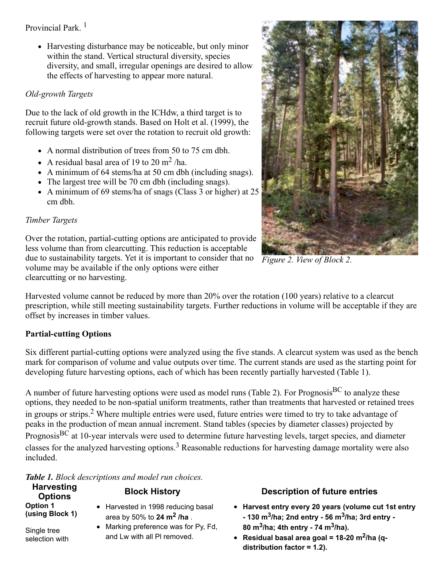Provincial Park.<sup>1</sup>

• Harvesting disturbance may be noticeable, but only minor within the stand. Vertical structural diversity, species diversity, and small, irregular openings are desired to allow the effects of harvesting to appear more natural.

## *Old-growth Targets*

Due to the lack of old growth in the ICHdw, a third target is to recruit future old-growth stands. Based on Holt et al. (1999), the following targets were set over the rotation to recruit old growth:

- A normal distribution of trees from 50 to 75 cm dbh.
- A residual basal area of 19 to 20 m<sup>2</sup>/ha.
- A minimum of 64 stems/ha at 50 cm dbh (including snags).
- The largest tree will be 70 cm dbh (including snags).
- A minimum of 69 stems/ha of snags (Class 3 or higher) at 25 cm dbh.

## *Timber Targets*

Over the rotation, partial-cutting options are anticipated to provide less volume than from clearcutting. This reduction is acceptable due to sustainability targets. Yet it is important to consider that no volume may be available if the only options were either clearcutting or no harvesting.

Harvested volume cannot be reduced by more than 20% over the rotation (100 years) relative to a clearcut prescription, while still meeting sustainability targets. Further reductions in volume will be acceptable if they are offset by increases in timber values.

# **Partial-cutting Options**

Six different partial-cutting options were analyzed using the five stands. A clearcut system was used as the bench mark for comparison of volume and value outputs over time. The current stands are used as the starting point for developing future harvesting options, each of which has been recently partially harvested (Table 1).

A number of future harvesting options were used as model runs (Table 2). For Prognosis<sup>BC</sup> to analyze these options, they needed to be non-spatial uniform treatments, rather than treatments that harvested or retained trees in groups or strips.<sup>2</sup> Where multiple entries were used, future entries were timed to try to take advantage of peaks in the production of mean annual increment. Stand tables (species by diameter classes) projected by PrognosisBC at 10-year intervals were used to determine future harvesting levels, target species, and diameter classes for the analyzed harvesting options.<sup>3</sup> Reasonable reductions for harvesting damage mortality were also included.

*Table 1. Block descriptions and model run choices.*

| <b>Harvesting</b><br><b>Options</b> | <b>Block History</b>                                                        | <b>Description of future entries</b>                                                                                                                        |
|-------------------------------------|-----------------------------------------------------------------------------|-------------------------------------------------------------------------------------------------------------------------------------------------------------|
| <b>Option 1</b><br>(using Block 1)  | • Harvested in 1998 reducing basal<br>area by 50% to 24 $\mathrm{m}^2$ /ha. | • Harvest entry every 20 years (volume cut 1st entry<br>$-130$ m <sup>3</sup> /ha; 2nd entry $-56$ m <sup>3</sup> /ha; 3rd entry $-$                        |
| Single tree<br>selection with       | • Marking preference was for Py, Fd,<br>and Lw with all PI removed.         | 80 m <sup>3</sup> /ha; 4th entry - 74 m <sup>3</sup> /ha).<br>• Residual basal area goal = $18-20$ m <sup>2</sup> /ha (q-<br>distribution factor = $1.2$ ). |



*Figure 2. View of Block 2.*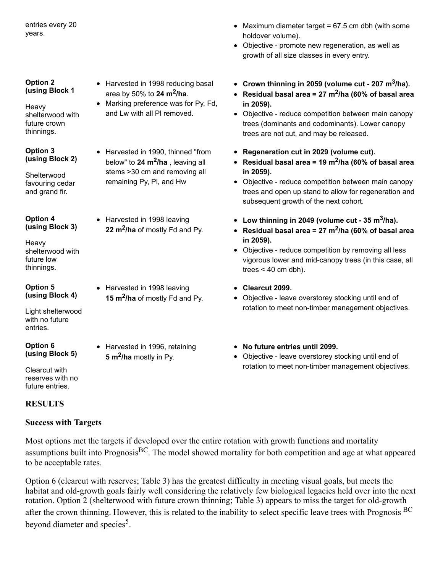entries every 20 years.

#### **Option 2 (using Block 1**

Heavy shelterwood with future crown thinnings.

#### **Option 3 (using Block 2)**

Shelterwood favouring cedar and grand fir.

**Option 4 (using Block 3)**

Heavy shelterwood with future low thinnings.

#### **Option 5 (using Block 4)**

Light shelterwood with no future entries.

**Option 6 (using Block 5)**

Clearcut with reserves with no future entries.

## **RESULTS**

## **Success with Targets**

Most options met the targets if developed over the entire rotation with growth functions and mortality assumptions built into Prognosis<sup>BC</sup>. The model showed mortality for both competition and age at what appeared to be acceptable rates.

Option 6 (clearcut with reserves; Table 3) has the greatest difficulty in meeting visual goals, but meets the habitat and old-growth goals fairly well considering the relatively few biological legacies held over into the next rotation. Option 2 (shelterwood with future crown thinning; Table 3) appears to miss the target for old-growth after the crown thinning. However, this is related to the inability to select specific leave trees with Prognosis <sup>BC</sup> beyond diameter and species<sup>5</sup>.

- Harvested in 1998 reducing basal area by 50% to **24 m<sup>2</sup> /ha**.
- Marking preference was for Py, Fd, and Lw with all Pl removed.
- Harvested in 1990, thinned "from below" to **24 m<sup>2</sup> /ha** , leaving all stems >30 cm and removing all remaining Py, Pl, and Hw
- Harvested in 1998 leaving **22 m<sup>2</sup> /ha** of mostly Fd and Py.
- Harvested in 1998 leaving **15 m<sup>2</sup> /ha** of mostly Fd and Py.
	- Harvested in 1996, retaining **5 m<sup>2</sup> /ha** mostly in Py.
- Maximum diameter target =  $67.5$  cm dbh (with some holdover volume).
- Objective promote new regeneration, as well as growth of all size classes in every entry.
- **Crown thinning in 2059 (volume cut - 207 m<sup>3</sup> /ha).**
- **Residual basal area = 27 m<sup>2</sup> /ha (60% of basal area in 2059).**
- Objective reduce competition between main canopy trees (dominants and codominants). Lower canopy trees are not cut, and may be released.
- **Regeneration cut in 2029 (volume cut).**
- **Residual basal area = 19 m<sup>2</sup> /ha (60% of basal area in 2059).**
- Objective reduce competition between main canopy trees and open up stand to allow for regeneration and subsequent growth of the next cohort.
- **Low thinning in 2049 (volume cut - 35 m<sup>3</sup> /ha).**
- **Residual basal area = 27 m<sup>2</sup> /ha (60% of basal area in 2059).**
- Objective reduce competition by removing all less vigorous lower and mid-canopy trees (in this case, all trees  $<$  40 cm dbh).
- **Clearcut 2099.**
- Objective leave overstorey stocking until end of rotation to meet non-timber management objectives.
- **No future entries until 2099.**
- Objective leave overstorey stocking until end of rotation to meet non-timber management objectives.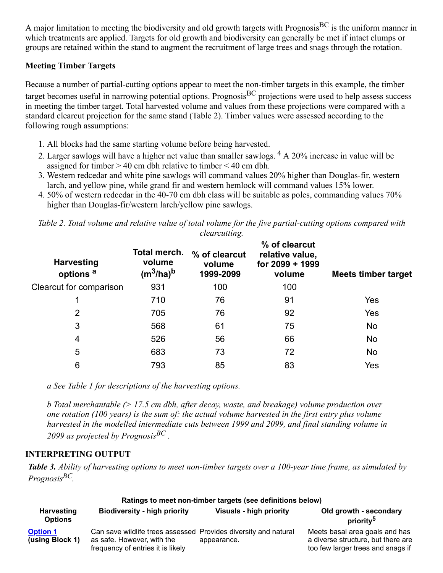A major limitation to meeting the biodiversity and old growth targets with Prognosis<sup>BC</sup> is the uniform manner in which treatments are applied. Targets for old growth and biodiversity can generally be met if intact clumps or groups are retained within the stand to augment the recruitment of large trees and snags through the rotation.

### **Meeting Timber Targets**

Because a number of partial-cutting options appear to meet the non-timber targets in this example, the timber target becomes useful in narrowing potential options. Prognosis ${}^{BC}$  projections were used to help assess success in meeting the timber target. Total harvested volume and values from these projections were compared with a standard clearcut projection for the same stand (Table 2). Timber values were assessed according to the following rough assumptions:

- 1. All blocks had the same starting volume before being harvested.
- 2. Larger sawlogs will have a higher net value than smaller sawlogs.  $4 \text{ A } 20\%$  increase in value will be assigned for timber  $> 40$  cm dbh relative to timber  $< 40$  cm dbh.
- 3. Western redcedar and white pine sawlogs will command values 20% higher than Douglas-fir, western larch, and yellow pine, while grand fir and western hemlock will command values 15% lower.
- 4. 50% of western redcedar in the 40-70 cm dbh class will be suitable as poles, commanding values 70% higher than Douglas-fir/western larch/yellow pine sawlogs.

|  | Table 2. Total volume and relative value of total volume for the five partial-cutting options compared with |  |                      |  |  |  |  |
|--|-------------------------------------------------------------------------------------------------------------|--|----------------------|--|--|--|--|
|  |                                                                                                             |  | <i>clearcutting.</i> |  |  |  |  |

| Total merch.<br>volume<br>$(m^3/ha)^b$ | % of clearcut<br>volume<br>1999-2099 | % of clearcut<br>relative value,<br>for 2099 + 1999<br>volume | Meets timber target |
|----------------------------------------|--------------------------------------|---------------------------------------------------------------|---------------------|
| 931                                    | 100                                  | 100                                                           |                     |
| 710                                    | 76                                   | 91                                                            | Yes                 |
| 705                                    | 76                                   | 92                                                            | Yes                 |
| 568                                    | 61                                   | 75                                                            | No                  |
| 526                                    | 56                                   | 66                                                            | No                  |
| 683                                    | 73                                   | 72                                                            | No                  |
| 793                                    | 85                                   | 83                                                            | Yes                 |
|                                        |                                      |                                                               |                     |

*a See Table 1 for descriptions of the harvesting options.*

*b Total merchantable (> 17.5 cm dbh, after decay, waste, and breakage) volume production over one rotation (100 years) is the sum of: the actual volume harvested in the first entry plus volume harvested in the modelled intermediate cuts between 1999 and 2099, and final standing volume in 2099 as projected by PrognosisBC* .

### **INTERPRETING OUTPUT**

*Table 3. Ability of harvesting options to meet non-timber targets over a 100-year time frame, as simulated by PrognosisBC.*

| Ratings to meet non-timber targets (see definitions below) |                                                                                                                                    |                                |                                                                                                           |  |  |  |  |
|------------------------------------------------------------|------------------------------------------------------------------------------------------------------------------------------------|--------------------------------|-----------------------------------------------------------------------------------------------------------|--|--|--|--|
| <b>Harvesting</b><br><b>Options</b>                        | <b>Biodiversity - high priority</b>                                                                                                | <b>Visuals - high priority</b> | Old growth - secondary<br>priority <sup>5</sup>                                                           |  |  |  |  |
| <b>Option 1</b><br>(using Block 1)                         | Can save wildlife trees assessed Provides diversity and natural<br>as safe. However, with the<br>frequency of entries it is likely | appearance.                    | Meets basal area goals and has<br>a diverse structure, but there are<br>too few larger trees and snags if |  |  |  |  |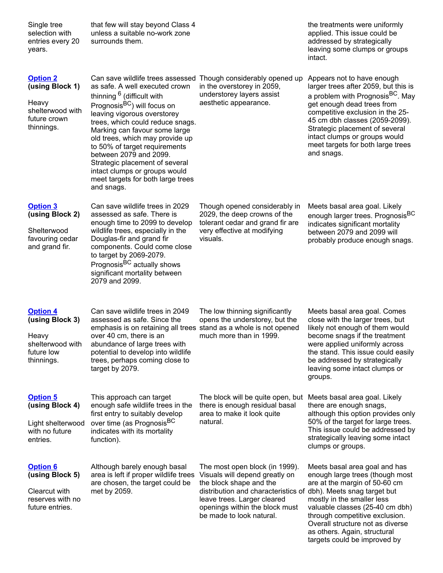| Single tree<br>selection with<br>entries every 20<br>years.                                   | that few will stay beyond Class 4<br>unless a suitable no-work zone<br>surrounds them.                                                                                                                                                                                                                                                                                                                                                                                                                       |                                                                                                                                                                                                                                                             | the treatments were uniformly<br>applied. This issue could be<br>addressed by strategically<br>leaving some clumps or groups<br>intact.                                                                                                                                                                                                      |
|-----------------------------------------------------------------------------------------------|--------------------------------------------------------------------------------------------------------------------------------------------------------------------------------------------------------------------------------------------------------------------------------------------------------------------------------------------------------------------------------------------------------------------------------------------------------------------------------------------------------------|-------------------------------------------------------------------------------------------------------------------------------------------------------------------------------------------------------------------------------------------------------------|----------------------------------------------------------------------------------------------------------------------------------------------------------------------------------------------------------------------------------------------------------------------------------------------------------------------------------------------|
| <b>Option 2</b><br>(using Block 1)<br>Heavy<br>shelterwood with<br>future crown<br>thinnings. | Can save wildlife trees assessed Though considerably opened up<br>as safe. A well executed crown<br>thinning <sup>6</sup> (difficult with<br>Prognosis <sup>BC</sup> ) will focus on<br>leaving vigorous overstorey<br>trees, which could reduce snags.<br>Marking can favour some large<br>old trees, which may provide up<br>to 50% of target requirements<br>between 2079 and 2099.<br>Strategic placement of several<br>intact clumps or groups would<br>meet targets for both large trees<br>and snags. | in the overstorey in 2059,<br>understorey layers assist<br>aesthetic appearance.                                                                                                                                                                            | Appears not to have enough<br>larger trees after 2059, but this is<br>a problem with Prognosis <sup>BC</sup> . May<br>get enough dead trees from<br>competitive exclusion in the 25-<br>45 cm dbh classes (2059-2099).<br>Strategic placement of several<br>intact clumps or groups would<br>meet targets for both large trees<br>and snags. |
| <b>Option 3</b><br>(using Block 2)<br>Shelterwood<br>favouring cedar<br>and grand fir.        | Can save wildlife trees in 2029<br>assessed as safe. There is<br>enough time to 2099 to develop<br>wildlife trees, especially in the<br>Douglas-fir and grand fir<br>components. Could come close<br>to target by 2069-2079.<br>Prognosis <sup>BC</sup> actually shows<br>significant mortality between<br>2079 and 2099.                                                                                                                                                                                    | Though opened considerably in<br>2029, the deep crowns of the<br>tolerant cedar and grand fir are<br>very effective at modifying<br>visuals.                                                                                                                | Meets basal area goal. Likely<br>enough larger trees. Prognosis <sup>BC</sup><br>indicates significant mortality<br>between 2079 and 2099 will<br>probably produce enough snags.                                                                                                                                                             |
| <b>Option 4</b><br>(using Block 3)<br>Heavy<br>shelterwood with<br>future low<br>thinnings.   | Can save wildlife trees in 2049<br>assessed as safe. Since the<br>emphasis is on retaining all trees stand as a whole is not opened<br>over 40 cm, there is an<br>abundance of large trees with<br>potential to develop into wildlife<br>trees, perhaps coming close to<br>target by 2079.                                                                                                                                                                                                                   | The low thinning significantly<br>opens the understorey, but the<br>much more than in 1999.                                                                                                                                                                 | Meets basal area goal. Comes<br>close with the larger trees, but<br>likely not enough of them would<br>become snags if the treatment<br>were applied uniformly across<br>the stand. This issue could easily<br>be addressed by strategically<br>leaving some intact clumps or<br>groups.                                                     |
| <b>Option 5</b><br>(using Block 4)<br>Light shelterwood<br>with no future<br>entries.         | This approach can target<br>enough safe wildlife trees in the<br>first entry to suitably develop<br>over time (as Prognosis <sup>BC</sup><br>indicates with its mortality<br>function).                                                                                                                                                                                                                                                                                                                      | The block will be quite open, but<br>there is enough residual basal<br>area to make it look quite<br>natural.                                                                                                                                               | Meets basal area goal. Likely<br>there are enough snags,<br>although this option provides only<br>50% of the target for large trees.<br>This issue could be addressed by<br>strategically leaving some intact<br>clumps or groups.                                                                                                           |
| <b>Option 6</b><br>(using Block 5)<br>Clearcut with<br>reserves with no<br>future entries.    | Although barely enough basal<br>area is left if proper wildlife trees<br>are chosen, the target could be<br>met by 2059.                                                                                                                                                                                                                                                                                                                                                                                     | The most open block (in 1999).<br>Visuals will depend greatly on<br>the block shape and the<br>distribution and characteristics of dbh). Meets snag target but<br>leave trees. Larger cleared<br>openings within the block must<br>be made to look natural. | Meets basal area goal and has<br>enough large trees (though most<br>are at the margin of 50-60 cm<br>mostly in the smaller less<br>valuable classes (25-40 cm dbh)<br>through competitive exclusion.<br>Overall structure not as diverse<br>as others. Again, structural<br>targets could be improved by                                     |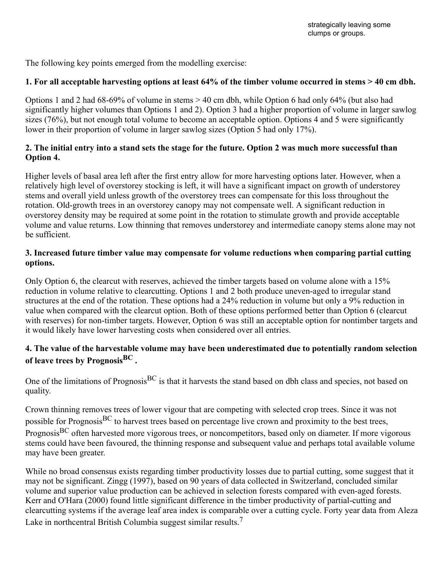The following key points emerged from the modelling exercise:

### **1. For all acceptable harvesting options at least 64% of the timber volume occurred in stems > 40 cm dbh.**

Options 1 and 2 had 68-69% of volume in stems > 40 cm dbh, while Option 6 had only 64% (but also had significantly higher volumes than Options 1 and 2). Option 3 had a higher proportion of volume in larger sawlog sizes (76%), but not enough total volume to become an acceptable option. Options 4 and 5 were significantly lower in their proportion of volume in larger sawlog sizes (Option 5 had only 17%).

### **2. The initial entry into a stand sets the stage for the future. Option 2 was much more successful than Option 4.**

Higher levels of basal area left after the first entry allow for more harvesting options later. However, when a relatively high level of overstorey stocking is left, it will have a significant impact on growth of understorey stems and overall yield unless growth of the overstorey trees can compensate for this loss throughout the rotation. Old-growth trees in an overstorey canopy may not compensate well. A significant reduction in overstorey density may be required at some point in the rotation to stimulate growth and provide acceptable volume and value returns. Low thinning that removes understorey and intermediate canopy stems alone may not be sufficient.

### **3. Increased future timber value may compensate for volume reductions when comparing partial cutting options.**

Only Option 6, the clearcut with reserves, achieved the timber targets based on volume alone with a 15% reduction in volume relative to clearcutting. Options 1 and 2 both produce uneven-aged to irregular stand structures at the end of the rotation. These options had a 24% reduction in volume but only a 9% reduction in value when compared with the clearcut option. Both of these options performed better than Option 6 (clearcut with reserves) for non-timber targets. However, Option 6 was still an acceptable option for nontimber targets and it would likely have lower harvesting costs when considered over all entries.

## **4. The value of the harvestable volume may have been underestimated due to potentially random selection of leave trees by PrognosisBC .**

One of the limitations of Prognosis<sup>BC</sup> is that it harvests the stand based on dbh class and species, not based on quality.

Crown thinning removes trees of lower vigour that are competing with selected crop trees. Since it was not possible for Prognosis<sup>BC</sup> to harvest trees based on percentage live crown and proximity to the best trees, Prognosis<sup>BC</sup> often harvested more vigorous trees, or noncompetitors, based only on diameter. If more vigorous stems could have been favoured, the thinning response and subsequent value and perhaps total available volume may have been greater.

While no broad consensus exists regarding timber productivity losses due to partial cutting, some suggest that it may not be significant. Zingg (1997), based on 90 years of data collected in Switzerland, concluded similar volume and superior value production can be achieved in selection forests compared with even-aged forests. Kerr and O'Hara (2000) found little significant difference in the timber productivity of partial-cutting and clearcutting systems if the average leaf area index is comparable over a cutting cycle. Forty year data from Aleza Lake in northcentral British Columbia suggest similar results.<sup>7</sup>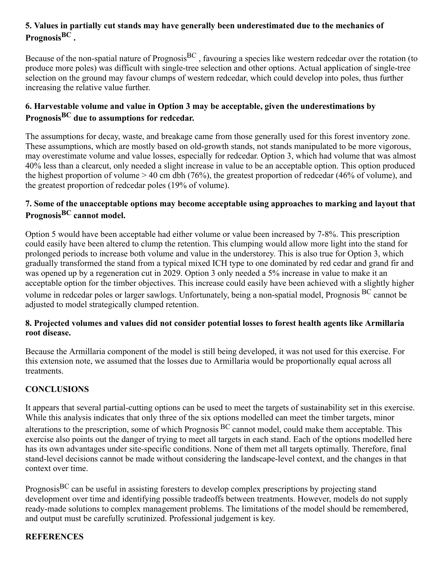## **5. Values in partially cut stands may have generally been underestimated due to the mechanics of PrognosisBC .**

Because of the non-spatial nature of Prognosis<sup>BC</sup>, favouring a species like western redcedar over the rotation (to produce more poles) was difficult with single-tree selection and other options. Actual application of single-tree selection on the ground may favour clumps of western redcedar, which could develop into poles, thus further increasing the relative value further.

## **6. Harvestable volume and value in Option 3 may be acceptable, given the underestimations by PrognosisBC due to assumptions for redcedar.**

The assumptions for decay, waste, and breakage came from those generally used for this forest inventory zone. These assumptions, which are mostly based on old-growth stands, not stands manipulated to be more vigorous, may overestimate volume and value losses, especially for redcedar. Option 3, which had volume that was almost 40% less than a clearcut, only needed a slight increase in value to be an acceptable option. This option produced the highest proportion of volume > 40 cm dbh (76%), the greatest proportion of redcedar (46% of volume), and the greatest proportion of redcedar poles (19% of volume).

## **7. Some of the unacceptable options may become acceptable using approaches to marking and layout that PrognosisBC cannot model.**

Option 5 would have been acceptable had either volume or value been increased by 7-8%. This prescription could easily have been altered to clump the retention. This clumping would allow more light into the stand for prolonged periods to increase both volume and value in the understorey. This is also true for Option 3, which gradually transformed the stand from a typical mixed ICH type to one dominated by red cedar and grand fir and was opened up by a regeneration cut in 2029. Option 3 only needed a 5% increase in value to make it an acceptable option for the timber objectives. This increase could easily have been achieved with a slightly higher volume in redcedar poles or larger sawlogs. Unfortunately, being a non-spatial model, Prognosis BC cannot be adjusted to model strategically clumped retention.

### **8. Projected volumes and values did not consider potential losses to forest health agents like Armillaria root disease.**

Because the Armillaria component of the model is still being developed, it was not used for this exercise. For this extension note, we assumed that the losses due to Armillaria would be proportionally equal across all treatments.

## **CONCLUSIONS**

It appears that several partial-cutting options can be used to meet the targets of sustainability set in this exercise. While this analysis indicates that only three of the six options modelled can meet the timber targets, minor alterations to the prescription, some of which Prognosis <sup>BC</sup> cannot model, could make them acceptable. This exercise also points out the danger of trying to meet all targets in each stand. Each of the options modelled here has its own advantages under site-specific conditions. None of them met all targets optimally. Therefore, final stand-level decisions cannot be made without considering the landscape-level context, and the changes in that context over time.

Prognosis<sup>BC</sup> can be useful in assisting foresters to develop complex prescriptions by projecting stand development over time and identifying possible tradeoffs between treatments. However, models do not supply ready-made solutions to complex management problems. The limitations of the model should be remembered, and output must be carefully scrutinized. Professional judgement is key.

## **REFERENCES**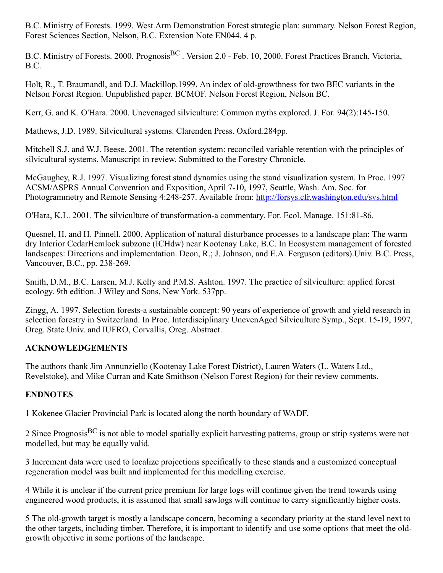B.C. Ministry of Forests. 1999. West Arm Demonstration Forest strategic plan: summary. Nelson Forest Region, Forest Sciences Section, Nelson, B.C. Extension Note EN044. 4 p.

B.C. Ministry of Forests. 2000. Prognosis<sup>BC</sup>. Version 2.0 - Feb. 10, 2000. Forest Practices Branch, Victoria, B.C.

Holt, R., T. Braumandl, and D.J. Mackillop.1999. An index of old-growthness for two BEC variants in the Nelson Forest Region. Unpublished paper. BCMOF. Nelson Forest Region, Nelson BC.

Kerr, G. and K. O'Hara. 2000. Unevenaged silviculture: Common myths explored. J. For. 94(2):145-150.

Mathews, J.D. 1989. Silvicultural systems. Clarenden Press. Oxford.284pp.

Mitchell S.J. and W.J. Beese. 2001. The retention system: reconciled variable retention with the principles of silvicultural systems. Manuscript in review. Submitted to the Forestry Chronicle.

McGaughey, R.J. 1997. Visualizing forest stand dynamics using the stand visualization system. In Proc. 1997 ACSM/ASPRS Annual Convention and Exposition, April 7-10, 1997, Seattle, Wash. Am. Soc. for Photogrammetry and Remote Sensing 4:248-257. Available from: <http://forsys.cfr.washington.edu/svs.html>

O'Hara, K.L. 2001. The silviculture of transformation-a commentary. For. Ecol. Manage. 151:81-86.

Quesnel, H. and H. Pinnell. 2000. Application of natural disturbance processes to a landscape plan: The warm dry Interior CedarHemlock subzone (ICHdw) near Kootenay Lake, B.C. In Ecosystem management of forested landscapes: Directions and implementation. Deon, R.; J. Johnson, and E.A. Ferguson (editors).Univ. B.C. Press, Vancouver, B.C., pp. 238-269.

Smith, D.M., B.C. Larsen, M.J. Kelty and P.M.S. Ashton. 1997. The practice of silviculture: applied forest ecology. 9th edition. J Wiley and Sons, New York. 537pp.

Zingg, A. 1997. Selection forests-a sustainable concept: 90 years of experience of growth and yield research in selection forestry in Switzerland. In Proc. Interdisciplinary UnevenAged Silviculture Symp., Sept. 15-19, 1997, Oreg. State Univ. and IUFRO, Corvallis, Oreg. Abstract.

#### **ACKNOWLEDGEMENTS**

The authors thank Jim Annunziello (Kootenay Lake Forest District), Lauren Waters (L. Waters Ltd., Revelstoke), and Mike Curran and Kate Smithson (Nelson Forest Region) for their review comments.

#### **ENDNOTES**

1 Kokenee Glacier Provincial Park is located along the north boundary of WADF.

2 Since Prognosis<sup>BC</sup> is not able to model spatially explicit harvesting patterns, group or strip systems were not modelled, but may be equally valid.

3 Increment data were used to localize projections specifically to these stands and a customized conceptual regeneration model was built and implemented for this modelling exercise.

4 While it is unclear if the current price premium for large logs will continue given the trend towards using engineered wood products, it is assumed that small sawlogs will continue to carry significantly higher costs.

5 The old-growth target is mostly a landscape concern, becoming a secondary priority at the stand level next to the other targets, including timber. Therefore, it is important to identify and use some options that meet the oldgrowth objective in some portions of the landscape.